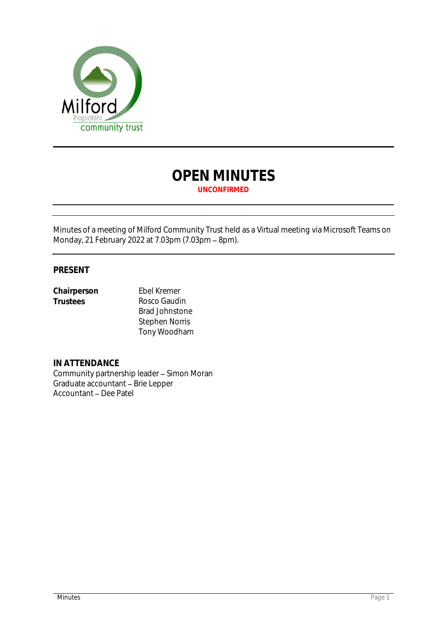

# **OPEN MINUTES UNCONFIRMED**

Minutes of a meeting of Milford Community Trust held as a Virtual meeting via Microsoft Teams on Monday, 21 February 2022 at 7.03pm (7.03pm - 8pm).

## **PRESENT**

**Chairperson** Ebel Kremer<br>
Trustees Rosco Gaudi

**Trustees** Rosco Gaudin Brad Johnstone Stephen Norris Tony Woodham

**IN ATTENDANCE** Community partnership leader - Simon Moran Graduate accountant - Brie Lepper Accountant - Dee Patel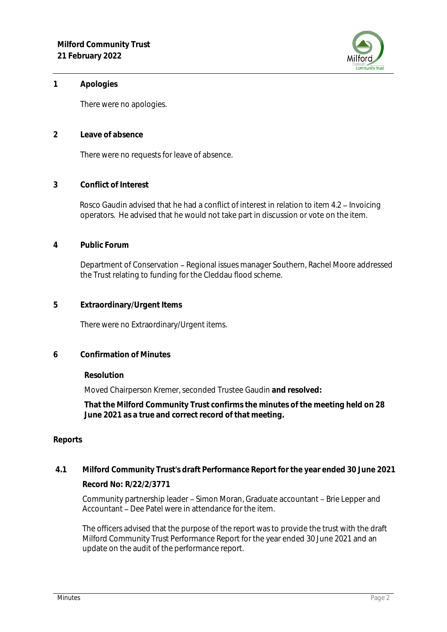

### **1 Apologies**

There were no apologies.

**2 Leave of absence** 

There were no requests for leave of absence.

**3 Conflict of Interest**

Rosco Gaudin advised that he had a conflict of interest in relation to item 4.2 - Invoicing operators. He advised that he would not take part in discussion or vote on the item.

**4 Public Forum**

Department of Conservation - Regional issues manager Southern, Rachel Moore addressed the Trust relating to funding for the Cleddau flood scheme.

**5 Extraordinary/Urgent Items**

There were no Extraordinary/Urgent items.

**6 Confirmation of Minutes**

**Resolution**

Moved Chairperson Kremer, seconded Trustee Gaudin **and resolved:**

**That the Milford Community Trust confirms the minutes of the meeting held on 28 June 2021 as a true and correct record of that meeting.**

### **Reports**

**4.1 Milford Community Trust's draft Performance Report for the year ended 30 June 2021 Record No: R/22/2/3771**

Community partnership leader – Simon Moran, Graduate accountant – Brie Lepper and Accountant – Dee Patel were in attendance for the item.

The officers advised that the purpose of the report was to provide the trust with the draft Milford Community Trust Performance Report for the year ended 30 June 2021 and an update on the audit of the performance report.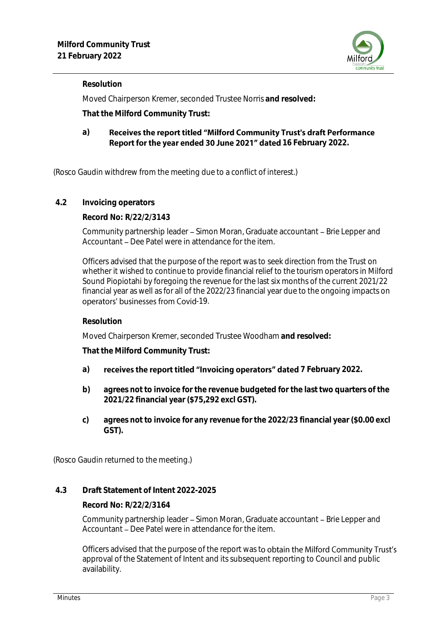

### **Resolution**

Moved Chairperson Kremer, seconded Trustee Norris **and resolved:**

**That the Milford Community Trust:**

#### Receives the report titled "Milford Community Trust's draft Performance **a)** Report for the year ended 30 June 2021" dated 16 February 2022.

(Rosco Gaudin withdrew from the meeting due to a conflict of interest.)

**4.2 Invoicing operators**

**Record No: R/22/2/3143**

Community partnership leader - Simon Moran, Graduate accountant - Brie Lepper and Accountant – Dee Patel were in attendance for the item.

Officers advised that the purpose of the report was to seek direction from the Trust on whether it wished to continue to provide financial relief to the tourism operators in Milford Sound Piopiotahi by foregoing the revenue for the last six months of the current 2021/22 financial year as well as for all of the 2022/23 financial year due to the ongoing impacts on operators' businesses from Covid-19.

### **Resolution**

Moved Chairperson Kremer, seconded Trustee Woodham **and resolved:**

**That the Milford Community Trust:**

- a) **receives the report titled "Invoicing operators" dated** 7 February 2022.
- **b) agrees not to invoice for the revenue budgeted for the last two quarters of the 2021/22 financial year (\$75,292 excl GST).**
- **c) agrees not to invoice for any revenue for the 2022/23 financial year (\$0.00 excl GST).**

(Rosco Gaudin returned to the meeting.)

### **4.3 Draft Statement of Intent 2022-2025**

**Record No: R/22/2/3164**

Community partnership leader - Simon Moran, Graduate accountant - Brie Lepper and Accountant – Dee Patel were in attendance for the item.

Officers advised that the purpose of the report was to obtain the Milford Community Trust's approval of the Statement of Intent and its subsequent reporting to Council and public availability.